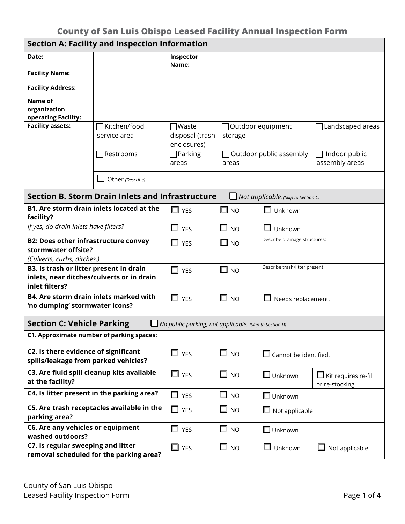| <b>Section A: Facility and Inspection Information</b>                                                  |                                            |                                                |                     |                                       |                                               |  |  |
|--------------------------------------------------------------------------------------------------------|--------------------------------------------|------------------------------------------------|---------------------|---------------------------------------|-----------------------------------------------|--|--|
| Date:                                                                                                  |                                            | Inspector<br>Name:                             |                     |                                       |                                               |  |  |
| <b>Facility Name:</b>                                                                                  |                                            |                                                |                     |                                       |                                               |  |  |
| <b>Facility Address:</b>                                                                               |                                            |                                                |                     |                                       |                                               |  |  |
| Name of<br>organization<br>operating Facility:                                                         |                                            |                                                |                     |                                       |                                               |  |  |
| <b>Facility assets:</b>                                                                                | Kitchen/food<br>service area               | $\Box$ Waste<br>disposal (trash<br>enclosures) | storage             | Outdoor equipment<br>Landscaped areas |                                               |  |  |
|                                                                                                        | Restrooms]                                 | $\Box$ Parking<br>areas                        | areas               | $\Box$ Outdoor public assembly        | Indoor public<br>assembly areas               |  |  |
|                                                                                                        | Other (Describe)                           |                                                |                     |                                       |                                               |  |  |
| <b>Section B. Storm Drain Inlets and Infrastructure</b><br>Not applicable. (Skip to Section C)         |                                            |                                                |                     |                                       |                                               |  |  |
| <b>B1. Are storm drain inlets located at the</b><br>facility?                                          |                                            | $\Box$ YES                                     | $\square$ NO        | $\Box$ Unknown                        |                                               |  |  |
| If yes, do drain inlets have filters?                                                                  |                                            | $\Box$ YES                                     | $\square$ no        | $\Box$<br>Unknown                     |                                               |  |  |
| <b>B2: Does other infrastructure convey</b><br>stormwater offsite?<br>(Culverts, curbs, ditches.)      |                                            | $\Box$ YES                                     | $\square$ NO        | Describe drainage structures:         |                                               |  |  |
| B3. Is trash or litter present in drain<br>inlets, near ditches/culverts or in drain<br>inlet filters? |                                            | $\Box$ YES                                     | $\square$ NO        | Describe trash/litter present:        |                                               |  |  |
| <b>B4. Are storm drain inlets marked with</b><br>'no dumping' stormwater icons?                        |                                            | $\Box$ YES                                     | $\square$ NO        | Needs replacement.                    |                                               |  |  |
| <b>Section C: Vehicle Parking</b><br>No public parking, not applicable. (Skip to Section D)            |                                            |                                                |                     |                                       |                                               |  |  |
| C1. Approximate number of parking spaces:                                                              |                                            |                                                |                     |                                       |                                               |  |  |
| C2. Is there evidence of significant<br>spills/leakage from parked vehicles?                           |                                            | $\Box$ YES                                     | $\square$ NO        | $\Box$ Cannot be identified.          |                                               |  |  |
| C3. Are fluid spill cleanup kits available<br>at the facility?                                         |                                            | $\Box$ YES                                     | $\square$ NO        | $\Box$ Unknown                        | $\Box$ Kit requires re-fill<br>or re-stocking |  |  |
| C4. Is litter present in the parking area?                                                             |                                            | $\Box$ YES                                     | $\Box$<br><b>NO</b> | $\Box$ Unknown                        |                                               |  |  |
| parking area?                                                                                          | C5. Are trash receptacles available in the | $\Box$<br><b>YES</b>                           | $\square$ NO        | $\Box$ Not applicable                 |                                               |  |  |
| C6. Are any vehicles or equipment<br>washed outdoors?                                                  |                                            | $\Box$ YES                                     | $\square$ NO        | $\square$ Unknown                     |                                               |  |  |
| C7. Is regular sweeping and litter                                                                     | removal scheduled for the parking area?    | $\Box$ YES                                     | $\square$ NO        | $\Box$<br>Unknown                     | $\Box$ Not applicable                         |  |  |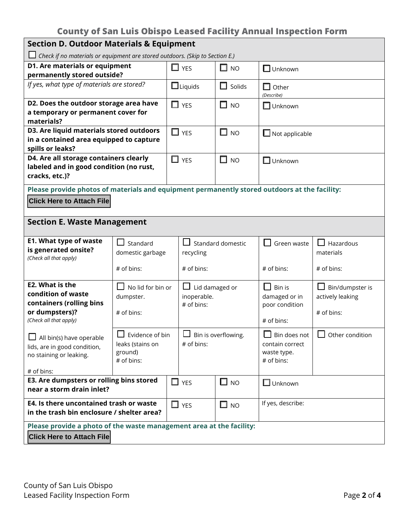| <b>Section D. Outdoor Materials &amp; Equipment</b>                                           |                             |                                          |                                   |                     |                                |                        |  |
|-----------------------------------------------------------------------------------------------|-----------------------------|------------------------------------------|-----------------------------------|---------------------|--------------------------------|------------------------|--|
| $\Box$ Check if no materials or equipment are stored outdoors. (Skip to Section E.)           |                             |                                          |                                   |                     |                                |                        |  |
| D1. Are materials or equipment                                                                |                             |                                          | $\Box$ YES                        | $\Box$<br><b>NO</b> | $\Box$ Unknown                 |                        |  |
| permanently stored outside?                                                                   |                             |                                          |                                   |                     |                                |                        |  |
| If yes, what type of materials are stored?                                                    |                             |                                          | $\Box$ Liquids                    | $\Box$<br>Solids    | $\Box$ Other<br>(Describe)     |                        |  |
| D2. Does the outdoor storage area have                                                        |                             |                                          | $\Box$ YES                        | $\square$ NO        | $\Box$ Unknown                 |                        |  |
| a temporary or permanent cover for                                                            |                             |                                          |                                   |                     |                                |                        |  |
| materials?<br>D3. Are liquid materials stored outdoors                                        |                             |                                          |                                   |                     |                                |                        |  |
|                                                                                               |                             |                                          | $\Box$ YES                        | $\Box$<br><b>NO</b> | $\Box$ Not applicable          |                        |  |
| in a contained area equipped to capture<br>spills or leaks?                                   |                             |                                          |                                   |                     |                                |                        |  |
| D4. Are all storage containers clearly                                                        |                             |                                          | $\Box$ YES<br>$\Box$<br><b>NO</b> |                     | $\Box$ Unknown                 |                        |  |
| labeled and in good condition (no rust,                                                       |                             |                                          |                                   |                     |                                |                        |  |
| cracks, etc.)?                                                                                |                             |                                          |                                   |                     |                                |                        |  |
| Please provide photos of materials and equipment permanently stored outdoors at the facility: |                             |                                          |                                   |                     |                                |                        |  |
| <b>Click Here to Attach File</b>                                                              |                             |                                          |                                   |                     |                                |                        |  |
|                                                                                               |                             |                                          |                                   |                     |                                |                        |  |
| <b>Section E. Waste Management</b>                                                            |                             |                                          |                                   |                     |                                |                        |  |
|                                                                                               |                             |                                          |                                   |                     |                                |                        |  |
| <b>E1. What type of waste</b>                                                                 | Standard                    | $\Box$<br>Standard domestic<br>recycling |                                   | Green waste         | Hazardous                      |                        |  |
| is generated onsite?<br>(Check all that apply)                                                | domestic garbage            |                                          |                                   |                     | materials                      |                        |  |
| # of bins:                                                                                    |                             | # of bins:                               |                                   | # of bins:          | # of bins:                     |                        |  |
|                                                                                               |                             |                                          |                                   |                     |                                |                        |  |
| E2. What is the                                                                               | $\Box$ No lid for bin or    |                                          | $\Box$ Lid damaged or             |                     | $\mathsf{L}$<br>Bin is         | $\Box$ Bin/dumpster is |  |
| condition of waste                                                                            | dumpster.                   |                                          | inoperable.                       |                     | damaged or in                  | actively leaking       |  |
| containers (rolling bins                                                                      |                             |                                          | # of bins:                        |                     | poor condition                 |                        |  |
| or dumpsters)?<br>(Check all that apply)                                                      | # of bins:                  |                                          |                                   |                     | # of bins:                     | # of bins:             |  |
|                                                                                               | $\blacksquare$              |                                          | $\Box$                            |                     |                                |                        |  |
| All bin(s) have operable                                                                      | $\Box$ Evidence of bin      |                                          | $\Box$ Bin is overflowing.        |                     | Bin does not                   | $\Box$ Other condition |  |
| lids, are in good condition,                                                                  | leaks (stains on<br>ground) | # of bins:                               |                                   |                     | contain correct<br>waste type. |                        |  |
| no staining or leaking.                                                                       | # of bins:                  |                                          |                                   |                     | # of bins:                     |                        |  |
| # of bins:                                                                                    |                             |                                          |                                   |                     |                                |                        |  |
| E3. Are dumpsters or rolling bins stored                                                      |                             |                                          | $\Box$ YES                        | $\square$ NO        | $\Box$ Unknown                 |                        |  |
| near a storm drain inlet?                                                                     |                             |                                          |                                   |                     |                                |                        |  |
| E4. Is there uncontained trash or waste                                                       |                             |                                          | $\Box$ YES                        | $\square$ NO        | If yes, describe:              |                        |  |
| in the trash bin enclosure / shelter area?                                                    |                             |                                          |                                   |                     |                                |                        |  |
| Please provide a photo of the waste management area at the facility:                          |                             |                                          |                                   |                     |                                |                        |  |
| <b>Click Here to Attach File</b>                                                              |                             |                                          |                                   |                     |                                |                        |  |
|                                                                                               |                             |                                          |                                   |                     |                                |                        |  |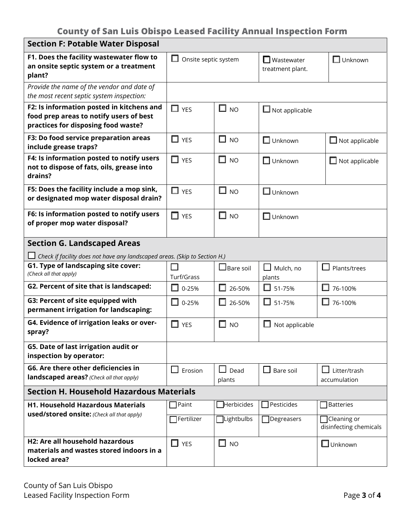| <b>Section F: Potable Water Disposal</b>                                                                                    |                           |                                |                                                 |                                              |  |  |  |
|-----------------------------------------------------------------------------------------------------------------------------|---------------------------|--------------------------------|-------------------------------------------------|----------------------------------------------|--|--|--|
| F1. Does the facility wastewater flow to<br>an onsite septic system or a treatment<br>plant?                                | ப<br>Onsite septic system |                                | $\Box$ Wastewater<br>treatment plant.           | $\Box$ Unknown                               |  |  |  |
| Provide the name of the vendor and date of<br>the most recent septic system inspection:                                     |                           |                                |                                                 |                                              |  |  |  |
| F2: Is information posted in kitchens and<br>food prep areas to notify users of best<br>practices for disposing food waste? | $\Box$ YES                | $\Box$ NO                      | $\Box$ Not applicable                           |                                              |  |  |  |
| F3: Do food service preparation areas<br>include grease traps?                                                              | $\Box$ YES                | □<br><b>NO</b>                 | $\Box$ Unknown                                  | $\Box$ Not applicable                        |  |  |  |
| F4: Is information posted to notify users<br>not to dispose of fats, oils, grease into<br>drains?                           | $\Box$ YES                | $\Box$ NO                      | $\Box$ Unknown                                  | $\Box$ Not applicable                        |  |  |  |
| F5: Does the facility include a mop sink,<br>or designated mop water disposal drain?                                        | $\Box$ YES                | $\square$ NO                   | $\Box$ Unknown                                  |                                              |  |  |  |
| F6: Is information posted to notify users<br>of proper mop water disposal?                                                  | $\Box$<br><b>YES</b>      | $\Box$ NO                      | $\Box$ Unknown                                  |                                              |  |  |  |
| <b>Section G. Landscaped Areas</b>                                                                                          |                           |                                |                                                 |                                              |  |  |  |
| Check if facility does not have any landscaped areas. (Skip to Section H.)                                                  |                           |                                |                                                 |                                              |  |  |  |
| G1. Type of landscaping site cover:<br>(Check all that apply)                                                               | Turf/Grass                | $\Box$ Bare soil               | $\overline{\phantom{a}}$<br>Mulch, no<br>plants | Plants/trees                                 |  |  |  |
| G2. Percent of site that is landscaped:                                                                                     | 0-25%<br>ш                | $\Box$ 26-50%                  | $\Box$ 51-75%                                   | ш<br>76-100%                                 |  |  |  |
| G3: Percent of site equipped with<br>permanent irrigation for landscaping:                                                  | $\Box$<br>0-25%           | $\Box$ 26-50%                  | $\Box$ 51-75%                                   | ப<br>76-100%                                 |  |  |  |
| G4. Evidence of irrigation leaks or over-<br>spray?                                                                         | □<br><b>YES</b>           | $\Box$<br><b>NO</b>            | Not applicable                                  |                                              |  |  |  |
| G5. Date of last irrigation audit or<br>inspection by operator:                                                             |                           |                                |                                                 |                                              |  |  |  |
| G6. Are there other deficiencies in<br>landscaped areas? (Check all that apply)                                             | $\Box$<br>Erosion         | $\mathbf{L}$<br>Dead<br>plants | $\Box$ Bare soil                                | Litter/trash<br>$\perp$<br>accumulation      |  |  |  |
| <b>Section H. Household Hazardous Materials</b>                                                                             |                           |                                |                                                 |                                              |  |  |  |
| <b>H1. Household Hazardous Materials</b>                                                                                    | $\mathsf{Paint}$          | $\Box$ Herbicides              | Pesticides                                      | Batteries                                    |  |  |  |
| <b>used/stored onsite:</b> (Check all that apply)                                                                           | Fertilizer                | $\Box$ Lightbulbs              | Degreasers                                      | $\Box$ Cleaning or<br>disinfecting chemicals |  |  |  |
| H2: Are all household hazardous<br>materials and wastes stored indoors in a<br>locked area?                                 | $\Box$ YES                | $\Box$ NO                      |                                                 | $\Box$ Unknown                               |  |  |  |